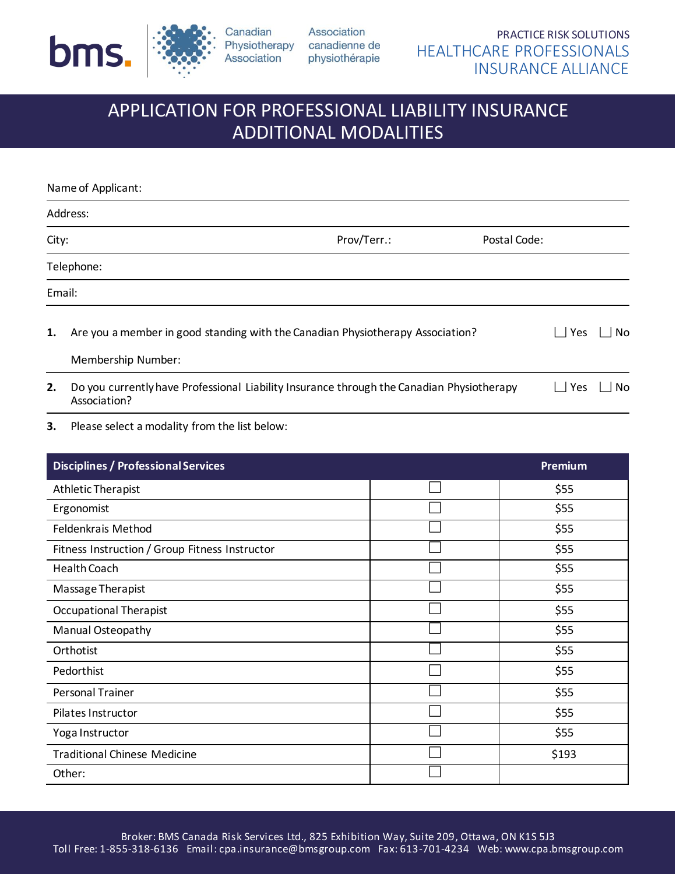

Canadian Association

Association Physiotherapy canadienne de physiothérapie

# APPLICATION FOR PROFESSIONAL LIABILITY INSURANCE ADDITIONAL MODALITIES

|       | Name of Applicant:                                                                                        |            |    |
|-------|-----------------------------------------------------------------------------------------------------------|------------|----|
|       | Address:                                                                                                  |            |    |
| City: | Prov/Terr.:<br>Postal Code:                                                                               |            |    |
|       | Telephone:                                                                                                |            |    |
|       | Email:                                                                                                    |            |    |
| 1.    | Are you a member in good standing with the Canadian Physiotherapy Association?                            | $\Box$ Yes | No |
|       | Membership Number:                                                                                        |            |    |
| 2.    | Do you currently have Professional Liability Insurance through the Canadian Physiotherapy<br>Association? | $\Box$ Yes | No |

**3.** Please select a modality from the list below:

| <b>Disciplines / Professional Services</b>     | Premium |       |
|------------------------------------------------|---------|-------|
| Athletic Therapist                             |         | \$55  |
| Ergonomist                                     |         | \$55  |
| Feldenkrais Method                             |         | \$55  |
| Fitness Instruction / Group Fitness Instructor |         | \$55  |
| Health Coach                                   |         | \$55  |
| Massage Therapist                              |         | \$55  |
| <b>Occupational Therapist</b>                  |         | \$55  |
| Manual Osteopathy                              |         | \$55  |
| Orthotist                                      |         | \$55  |
| Pedorthist                                     |         | \$55  |
| <b>Personal Trainer</b>                        |         | \$55  |
| Pilates Instructor                             |         | \$55  |
| Yoga Instructor                                |         | \$55  |
| <b>Traditional Chinese Medicine</b>            |         | \$193 |
| Other:                                         |         |       |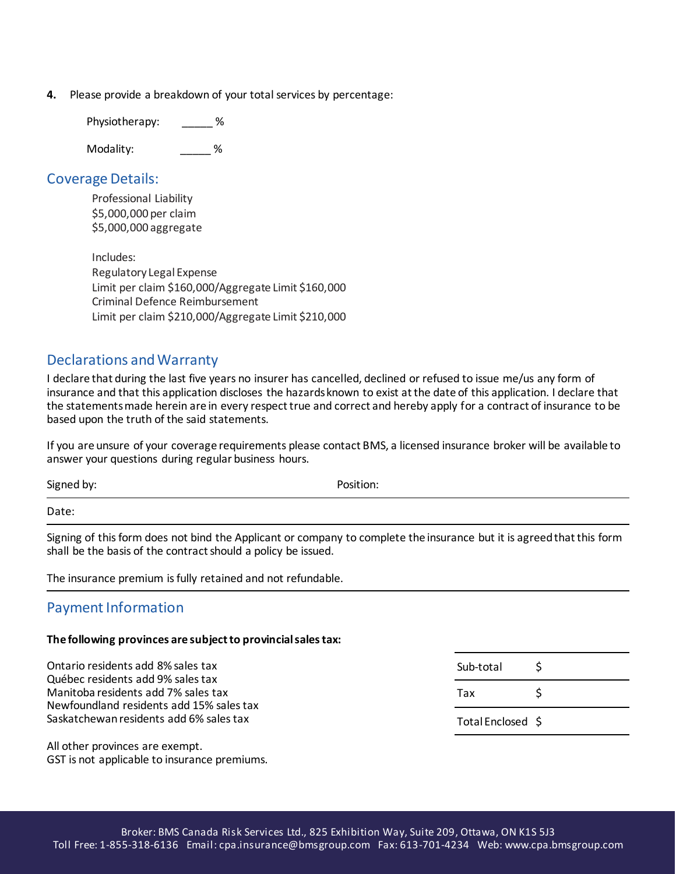**4.** Please provide a breakdown of your total services by percentage:

Physiotherapy: \_\_\_\_\_ %

Modality:  $\%$ 

#### Coverage Details:

Professional Liability \$5,000,000 per claim \$5,000,000 aggregate

Includes: Regulatory Legal Expense Limit per claim \$160,000/Aggregate Limit \$160,000 Criminal Defence Reimbursement Limit per claim \$210,000/Aggregate Limit \$210,000

### Declarations and Warranty

I declare that during the last five years no insurer has cancelled, declined or refused to issue me/us any form of insurance and that this application discloses the hazards known to exist at the date of this application. I declare that the statements made herein are in every respect true and correct and hereby apply for a contract of insurance to be based upon the truth of the said statements.

If you are unsure of your coverage requirements please contact BMS, a licensed insurance broker will be available to answer your questions during regular business hours.

Signed by: Position:

Date:

Signing of this form does not bind the Applicant or company to complete the insurance but it is agreed that this form shall be the basis of the contract should a policy be issued.

The insurance premium is fully retained and not refundable.

#### Payment Information

#### **The following provinces are subject to provincial sales tax:**

Ontario residents add 8% sales tax Québec residents add 9% sales tax Manitoba residents add 7% sales tax Newfoundland residents add 15% sales tax Saskatchewan residents add 6% sales tax Sub-total \$ Tax \$ Total Enclosed \$

All other provinces are exempt. GST is not applicable to insurance premiums.